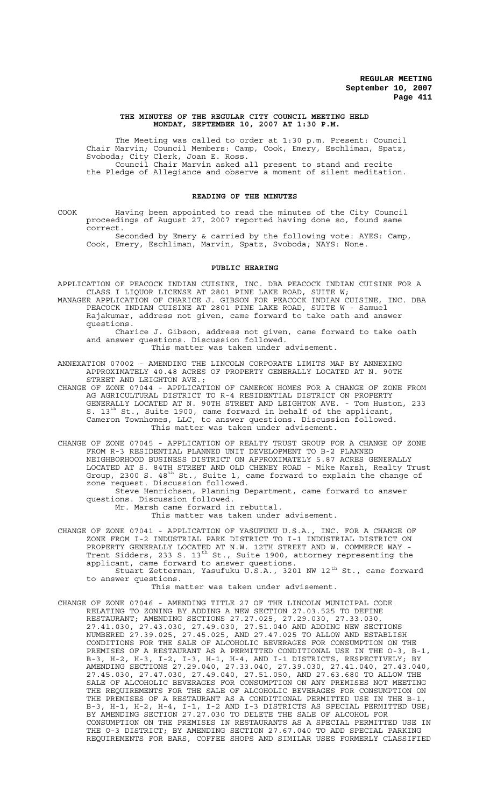#### **THE MINUTES OF THE REGULAR CITY COUNCIL MEETING HELD MONDAY, SEPTEMBER 10, 2007 AT 1:30 P.M.**

The Meeting was called to order at 1:30 p.m. Present: Council Chair Marvin; Council Members: Camp, Cook, Emery, Eschliman, Spatz, Svoboda; City Clerk, Joan E. Ross. Council Chair Marvin asked all present to stand and recite the Pledge of Allegiance and observe a moment of silent meditation.

#### **READING OF THE MINUTES**

COOK Having been appointed to read the minutes of the City Council proceedings of August 27, 2007 reported having done so, found same correct.

Seconded by Emery & carried by the following vote: AYES: Camp, Cook, Emery, Eschliman, Marvin, Spatz, Svoboda; NAYS: None.

#### **PUBLIC HEARING**

APPLICATION OF PEACOCK INDIAN CUISINE, INC. DBA PEACOCK INDIAN CUISINE FOR A CLASS I LIQUOR LICENSE AT 2801 PINE LAKE ROAD, SUITE W;

MANAGER APPLICATION OF CHARICE J. GIBSON FOR PEACOCK INDIAN CUISINE, INC. DBA PEACOCK INDIAN CUISINE AT 2801 PINE LAKE ROAD, SUITE W - Samuel Rajakumar, address not given, came forward to take oath and answer questions.

Charice J. Gibson, address not given, came forward to take oath and answer questions. Discussion followed. This matter was taken under advisement.

ANNEXATION 07002 - AMENDING THE LINCOLN CORPORATE LIMITS MAP BY ANNEXING APPROXIMATELY 40.48 ACRES OF PROPERTY GENERALLY LOCATED AT N. 90TH STREET AND LEIGHTON AVE.;

CHANGE OF ZONE 07044 - APPLICATION OF CAMERON HOMES FOR A CHANGE OF ZONE FROM AG AGRICULTURAL DISTRICT TO R-4 RESIDENTIAL DISTRICT ON PROPERTY GENERALLY LOCATED AT N. 90TH STREET AND LEIGHTON AVE. - Tom Huston, 233 S.  $13^{\text{th}}$  St., Suite 1900, came forward in behalf of the applicant, Cameron Townhomes, LLC, to answer questions. Discussion followed. This matter was taken under advisement.

CHANGE OF ZONE 07045 - APPLICATION OF REALTY TRUST GROUP FOR A CHANGE OF ZONE FROM R-3 RESIDENTIAL PLANNED UNIT DEVELOPMENT TO B-2 PLANNED NEIGHBORHOOD BUSINESS DISTRICT ON APPROXIMATELY 5.87 ACRES GENERALLY LOCATED AT S. 84TH STREET AND OLD CHENEY ROAD - Mike Marsh, Realty Trust Group, 2300 S. 48<sup>th</sup> St., Suite 1, came forward to explain the change of zone request. Discussion followed. Steve Henrichsen, Planning Department, came forward to answer

questions. Discussion followed.

Mr. Marsh came forward in rebuttal. This matter was taken under advisement.

CHANGE OF ZONE 07041 - APPLICATION OF YASUFUKU U.S.A., INC. FOR A CHANGE OF ZONE FROM I-2 INDUSTRIAL PARK DISTRICT TO I-1 INDUSTRIAL DISTRICT ON PROPERTY GENERALLY LOCATED AT N.W. 12TH STREET AND W. COMMERCE WAY - Trent Sidders, 233 S. 13 $^{\rm th}$  St., Suite 1900, attorney representing the applicant, came forward to answer questions. Stuart Zetterman, Yasufuku U.S.A., 3201 NW 12<sup>th</sup> St., came forward to answer questions.

This matter was taken under advisement.

CHANGE OF ZONE 07046 - AMENDING TITLE 27 OF THE LINCOLN MUNICIPAL CODE RELATING TO ZONING BY ADDING A NEW SECTION 27.03.525 TO DEFINE RESTAURANT; AMENDING SECTIONS 27.27.025, 27.29.030, 27.33.030, 27.41.030, 27.43.030, 27.49.030, 27.51.040 AND ADDING NEW SECTIONS NUMBERED 27.39.025, 27.45.025, AND 27.47.025 TO ALLOW AND ESTABLISH CONDITIONS FOR THE SALE OF ALCOHOLIC BEVERAGES FOR CONSUMPTION ON THE PREMISES OF A RESTAURANT AS A PERMITTED CONDITIONAL USE IN THE O-3, B-1, B-3, H-2, H-3, I-2, I-3, H-1, H-4, AND I-1 DISTRICTS, RESPECTIVELY; BY AMENDING SECTIONS 27.29.040, 27.33.040, 27.39.030, 27.41.040, 27.43.040, 27.45.030, 27.47.030, 27.49.040, 27.51.050, AND 27.63.680 TO ALLOW THE SALE OF ALCOHOLIC BEVERAGES FOR CONSUMPTION ON ANY PREMISES NOT MEETING THE REQUIREMENTS FOR THE SALE OF ALCOHOLIC BEVERAGES FOR CONSUMPTION ON THE PREMISES OF A RESTAURANT AS A CONDITIONAL PERMITTED USE IN THE B-1, B-3, H-1, H-2, H-4, I-1, I-2 AND I-3 DISTRICTS AS SPECIAL PERMITTED USE; BY AMENDING SECTION 27.27.030 TO DELETE THE SALE OF ALCOHOL FOR CONSUMPTION ON THE PREMISES IN RESTAURANTS AS A SPECIAL PERMITTED USE IN THE O-3 DISTRICT; BY AMENDING SECTION 27.67.040 TO ADD SPECIAL PARKING REQUIREMENTS FOR BARS, COFFEE SHOPS AND SIMILAR USES FORMERLY CLASSIFIED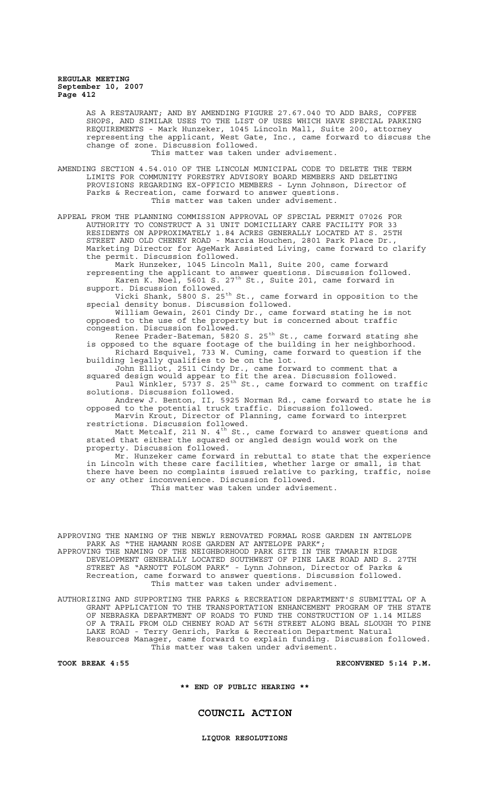> AS A RESTAURANT; AND BY AMENDING FIGURE 27.67.040 TO ADD BARS, COFFEE SHOPS, AND SIMILAR USES TO THE LIST OF USES WHICH HAVE SPECIAL PARKING REQUIREMENTS - Mark Hunzeker, 1045 Lincoln Mall, Suite 200, attorney representing the applicant, West Gate, Inc., came forward to discuss the change of zone. Discussion followed. This matter was taken under advisement.

AMENDING SECTION 4.54.010 OF THE LINCOLN MUNICIPAL CODE TO DELETE THE TERM LIMITS FOR COMMUNITY FORESTRY ADVISORY BOARD MEMBERS AND DELETING PROVISIONS REGARDING EX-OFFICIO MEMBERS - Lynn Johnson, Director of

Parks & Recreation, came forward to answer questions. This matter was taken under advisement.

APPEAL FROM THE PLANNING COMMISSION APPROVAL OF SPECIAL PERMIT 07026 FOR AUTHORITY TO CONSTRUCT A 31 UNIT DOMICILIARY CARE FACILITY FOR 33 RESIDENTS ON APPROXIMATELY 1.84 ACRES GENERALLY LOCATED AT S. 25TH STREET AND OLD CHENEY ROAD - Marcia Houchen, 2801 Park Place Dr., Marketing Director for AgeMark Assisted Living, came forward to clarify the permit. Discussion followed.

Mark Hunzeker, 1045 Lincoln Mall, Suite 200, came forward representing the applicant to answer questions. Discussion followed. Karen K. Noel, 5601 S. 27<sup>th</sup> St., Suite 201, came forward in support. Discussion followed.

Vicki Shank, 5800 S. 25<sup>th</sup> St., came forward in opposition to the special density bonus. Discussion followed.

William Gewain, 2601 Cindy Dr., came forward stating he is not opposed to the use of the property but is concerned about traffic congestion. Discussion followed.

Renee Prader-Bateman, 5820 S. 25<sup>th</sup> St., came forward stating she is opposed to the square footage of the building in her neighborhood. Richard Esquivel, 733 W. Cuming, came forward to question if the building legally qualifies to be on the lot.

John Elliot, 2511 Cindy Dr., came forward to comment that a squared design would appear to fit the area. Discussion followed. Paul Winkler, 5737 S. 25<sup>th</sup> St., came forward to comment on traffic solutions. Discussion followed.

Andrew J. Benton, II, 5925 Norman Rd., came forward to state he is opposed to the potential truck traffic. Discussion followed.

Marvin Krout, Director of Planning, came forward to interpret restrictions. Discussion followed.

Matt Metcalf, 211 N.  $4^{\rm th}$  St., came forward to answer questions and stated that either the squared or angled design would work on the property. Discussion followed.

Mr. Hunzeker came forward in rebuttal to state that the experience in Lincoln with these care facilities, whether large or small, is that there have been no complaints issued relative to parking, traffic, noise or any other inconvenience. Discussion followed.

This matter was taken under advisement.

APPROVING THE NAMING OF THE NEWLY RENOVATED FORMAL ROSE GARDEN IN ANTELOPE PARK AS "THE HAMANN ROSE GARDEN AT ANTELOPE PARK";

APPROVING THE NAMING OF THE NEIGHBORHOOD PARK SITE IN THE TAMARIN RIDGE DEVELOPMENT GENERALLY LOCATED SOUTHWEST OF PINE LAKE ROAD AND S. 27TH STREET AS "ARNOTT FOLSOM PARK" - Lynn Johnson, Director of Parks & Recreation, came forward to answer questions. Discussion followed. This matter was taken under advisement.

AUTHORIZING AND SUPPORTING THE PARKS & RECREATION DEPARTMENT'S SUBMITTAL OF A GRANT APPLICATION TO THE TRANSPORTATION ENHANCEMENT PROGRAM OF THE STATE OF NEBRASKA DEPARTMENT OF ROADS TO FUND THE CONSTRUCTION OF 1.14 MILES OF A TRAIL FROM OLD CHENEY ROAD AT 56TH STREET ALONG BEAL SLOUGH TO PINE LAKE ROAD - Terry Genrich, Parks & Recreation Department Natural Resources Manager, came forward to explain funding. Discussion followed. This matter was taken under advisement.

**TOOK BREAK 4:55 RECONVENED 5:14 P.M.**

**\*\* END OF PUBLIC HEARING \*\***

# **COUNCIL ACTION**

**LIQUOR RESOLUTIONS**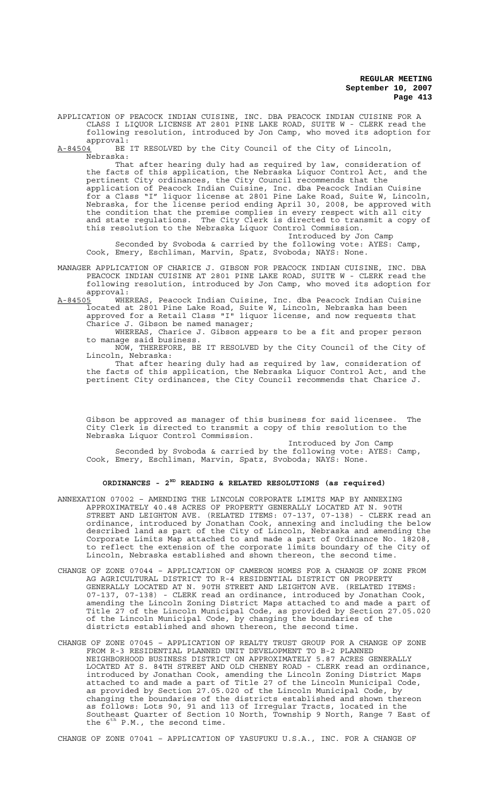APPLICATION OF PEACOCK INDIAN CUISINE, INC. DBA PEACOCK INDIAN CUISINE FOR A CLASS I LIQUOR LICENSE AT 2801 PINE LAKE ROAD, SUITE W - CLERK read the following resolution, introduced by Jon Camp, who moved its adoption for

approval:<br><u>A-84504</u> BE BE IT RESOLVED by the City Council of the City of Lincoln Nebraska:

That after hearing duly had as required by law, consideration of the facts of this application, the Nebraska Liquor Control Act, and the pertinent City ordinances, the City Council recommends that the application of Peacock Indian Cuisine, Inc. dba Peacock Indian Cuisine for a Class "I" liquor license at 2801 Pine Lake Road, Suite W, Lincoln, Nebraska, for the license period ending April 30, 2008, be approved with the condition that the premise complies in every respect with all city and state regulations. The City Clerk is directed to transmit a copy of this resolution to the Nebraska Liquor Control Commission.

Introduced by Jon Camp Seconded by Svoboda & carried by the following vote: AYES: Camp, Cook, Emery, Eschliman, Marvin, Spatz, Svoboda; NAYS: None.

MANAGER APPLICATION OF CHARICE J. GIBSON FOR PEACOCK INDIAN CUISINE, INC. DBA PEACOCK INDIAN CUISINE AT 2801 PINE LAKE ROAD, SUITE W - CLERK read the following resolution, introduced by Jon Camp, who moved its adoption for approval:

<u>A-84505</u> WHEREAS, Peacock Indian Cuisine, Inc. dba Peacock Indian Cuisine located at 2801 Pine Lake Road, Suite W, Lincoln, Nebraska has been approved for a Retail Class "I" liquor license, and now requests that Charice J. Gibson be named manager;

WHEREAS, Charice J. Gibson appears to be a fit and proper person to manage said business.

NOW, THEREFORE, BE IT RESOLVED by the City Council of the City of Lincoln, Nebraska:

That after hearing duly had as required by law, consideration of the facts of this application, the Nebraska Liquor Control Act, and the pertinent City ordinances, the City Council recommends that Charice J.

Gibson be approved as manager of this business for said licensee. The City Clerk is directed to transmit a copy of this resolution to the Nebraska Liquor Control Commission.

Introduced by Jon Camp Seconded by Svoboda & carried by the following vote: AYES: Camp, Cook, Emery, Eschliman, Marvin, Spatz, Svoboda; NAYS: None.

# **ORDINANCES - 2ND READING & RELATED RESOLUTIONS (as required)**

- ANNEXATION 07002 AMENDING THE LINCOLN CORPORATE LIMITS MAP BY ANNEXING APPROXIMATELY 40.48 ACRES OF PROPERTY GENERALLY LOCATED AT N. 90TH STREET AND LEIGHTON AVE. (RELATED ITEMS: 07-137, 07-138) - CLERK read an ordinance, introduced by Jonathan Cook, annexing and including the below described land as part of the City of Lincoln, Nebraska and amending the Corporate Limits Map attached to and made a part of Ordinance No. 18208, to reflect the extension of the corporate limits boundary of the City of Lincoln, Nebraska established and shown thereon, the second time.
- CHANGE OF ZONE 07044 APPLICATION OF CAMERON HOMES FOR A CHANGE OF ZONE FROM AG AGRICULTURAL DISTRICT TO R-4 RESIDENTIAL DISTRICT ON PROPERTY GENERALLY LOCATED AT N. 90TH STREET AND LEIGHTON AVE. (RELATED ITEMS: 07-137, 07-138) - CLERK read an ordinance, introduced by Jonathan Cook, amending the Lincoln Zoning District Maps attached to and made a part of Title 27 of the Lincoln Municipal Code, as provided by Section 27.05.020 of the Lincoln Municipal Code, by changing the boundaries of the districts established and shown thereon, the second time.
- CHANGE OF ZONE 07045 APPLICATION OF REALTY TRUST GROUP FOR A CHANGE OF ZONE FROM R-3 RESIDENTIAL PLANNED UNIT DEVELOPMENT TO B-2 PLANNED NEIGHBORHOOD BUSINESS DISTRICT ON APPROXIMATELY 5.87 ACRES GENERALLY LOCATED AT S. 84TH STREET AND OLD CHENEY ROAD - CLERK read an ordinance, introduced by Jonathan Cook, amending the Lincoln Zoning District Maps attached to and made a part of Title 27 of the Lincoln Municipal Code, as provided by Section 27.05.020 of the Lincoln Municipal Code, by changing the boundaries of the districts established and shown thereon as follows: Lots 90, 91 and 113 of Irregular Tracts, located in the Southeast Quarter of Section 10 North, Township 9 North, Range 7 East of the  $6^{th}$  P.M., the second time.

CHANGE OF ZONE 07041 – APPLICATION OF YASUFUKU U.S.A., INC. FOR A CHANGE OF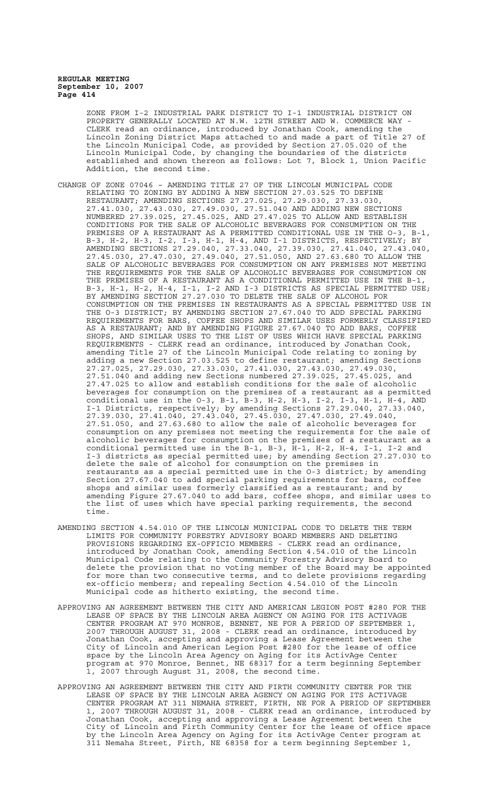ZONE FROM I-2 INDUSTRIAL PARK DISTRICT TO I-1 INDUSTRIAL DISTRICT ON PROPERTY GENERALLY LOCATED AT N.W. 12TH STREET AND W. COMMERCE WAY - CLERK read an ordinance, introduced by Jonathan Cook, amending the Lincoln Zoning District Maps attached to and made a part of Title 27 of the Lincoln Municipal Code, as provided by Section 27.05.020 of the Lincoln Municipal Code, by changing the boundaries of the districts established and shown thereon as follows: Lot 7, Block 1, Union Pacific Addition, the second time.

- CHANGE OF ZONE 07046 AMENDING TITLE 27 OF THE LINCOLN MUNICIPAL CODE RELATING TO ZONING BY ADDING A NEW SECTION 27.03.525 TO DEFINE RESTAURANT; AMENDING SECTIONS 27.27.025, 27.29.030, 27.33.030, 27.41.030, 27.43.030, 27.49.030, 27.51.040 AND ADDING NEW SECTIONS NUMBERED 27.39.025, 27.45.025, AND 27.47.025 TO ALLOW AND ESTABLISH CONDITIONS FOR THE SALE OF ALCOHOLIC BEVERAGES FOR CONSUMPTION ON THE PREMISES OF A RESTAURANT AS A PERMITTED CONDITIONAL USE IN THE O-3, B-1, B-3, H-2, H-3, I-2, I-3, H-1, H-4, AND I-1 DISTRICTS, RESPECTIVELY; BY AMENDING SECTIONS 27.29.040, 27.33.040, 27.39.030, 27.41.040, 27.43.040, 27.45.030, 27.47.030, 27.49.040, 27.51.050, AND 27.63.680 TO ALLOW THE SALE OF ALCOHOLIC BEVERAGES FOR CONSUMPTION ON ANY PREMISES NOT MEETING THE REQUIREMENTS FOR THE SALE OF ALCOHOLIC BEVERAGES FOR CONSUMPTION ON THE PREMISES OF A RESTAURANT AS A CONDITIONAL PERMITTED USE IN THE B-1, B-3, H-1, H-2, H-4, I-1, I-2 AND I-3 DISTRICTS AS SPECIAL PERMITTED USE; BY AMENDING SECTION 27.27.030 TO DELETE THE SALE OF ALCOHOL FOR CONSUMPTION ON THE PREMISES IN RESTAURANTS AS A SPECIAL PERMITTED USE IN THE O-3 DISTRICT; BY AMENDING SECTION 27.67.040 TO ADD SPECIAL PARKING REQUIREMENTS FOR BARS, COFFEE SHOPS AND SIMILAR USES FORMERLY CLASSIFIED AS A RESTAURANT; AND BY AMENDING FIGURE 27.67.040 TO ADD BARS, COFFEE SHOPS, AND SIMILAR USES TO THE LIST OF USES WHICH HAVE SPECIAL PARKING REQUIREMENTS - CLERK read an ordinance, introduced by Jonathan Cook, amending Title 27 of the Lincoln Municipal Code relating to zoning by adding a new Section 27.03.525 to define restaurant; amending Sections 27.27.025, 27.29.030, 27.33.030, 27.41.030, 27.43.030, 27.49.030, 27.51.040 and adding new Sections numbered 27.39.025, 27.45.025, and 27.47.025 to allow and establish conditions for the sale of alcoholic beverages for consumption on the premises of a restaurant as a permitted conditional use in the O-3, B-1, B-3, H-2, H-3, I-2, I-3, H-1, H-4, AND I-1 Districts, respectively; by amending Sections 27.29.040, 27.33.040, 27.39.030, 27.41.040, 27.43.040, 27.45.030, 27.47.030, 27.49.040, 27.51.050, and 27.63.680 to allow the sale of alcoholic beverages for consumption on any premises not meeting the requirements for the sale of alcoholic beverages for consumption on the premises of a restaurant as a conditional permitted use in the B-1, B-3, H-1, H-2, H-4, I-1, I-2 and I-3 districts as special permitted use; by amending Section 27.27.030 to delete the sale of alcohol for consumption on the premises in restaurants as a special permitted use in the O-3 district; by amending Section 27.67.040 to add special parking requirements for bars, coffee shops and similar uses formerly classified as a restaurant; and by amending Figure 27.67.040 to add bars, coffee shops, and similar uses to the list of uses which have special parking requirements, the second time.
- AMENDING SECTION 4.54.010 OF THE LINCOLN MUNICIPAL CODE TO DELETE THE TERM LIMITS FOR COMMUNITY FORESTRY ADVISORY BOARD MEMBERS AND DELETING PROVISIONS REGARDING EX-OFFICIO MEMBERS - CLERK read an ordinance, introduced by Jonathan Cook, amending Section 4.54.010 of the Lincoln Municipal Code relating to the Community Forestry Advisory Board to delete the provision that no voting member of the Board may be appointed for more than two consecutive terms, and to delete provisions regarding ex-officio members; and repealing Section 4.54.010 of the Lincoln Municipal code as hitherto existing, the second time.
- APPROVING AN AGREEMENT BETWEEN THE CITY AND AMERICAN LEGION POST #280 FOR THE LEASE OF SPACE BY THE LINCOLN AREA AGENCY ON AGING FOR ITS ACTIVAGE CENTER PROGRAM AT 970 MONROE, BENNET, NE FOR A PERIOD OF SEPTEMBER 1, 2007 THROUGH AUGUST 31, 2008 - CLERK read an ordinance, introduced by Jonathan Cook, accepting and approving a Lease Agreement between the City of Lincoln and American Legion Post #280 for the lease of office space by the Lincoln Area Agency on Aging for its ActivAge Center program at 970 Monroe, Bennet, NE 68317 for a term beginning September 1, 2007 through August 31, 2008, the second time.
- APPROVING AN AGREEMENT BETWEEN THE CITY AND FIRTH COMMUNITY CENTER FOR THE LEASE OF SPACE BY THE LINCOLN AREA AGENCY ON AGING FOR ITS ACTIVAGE CENTER PROGRAM AT 311 NEMAHA STREET, FIRTH, NE FOR A PERIOD OF SEPTEMBER 1, 2007 THROUGH AUGUST 31, 2008 - CLERK read an ordinance, introduced by Jonathan Cook, accepting and approving a Lease Agreement between the City of Lincoln and Firth Community Center for the lease of office space by the Lincoln Area Agency on Aging for its ActivAge Center program at 311 Nemaha Street, Firth, NE 68358 for a term beginning September 1,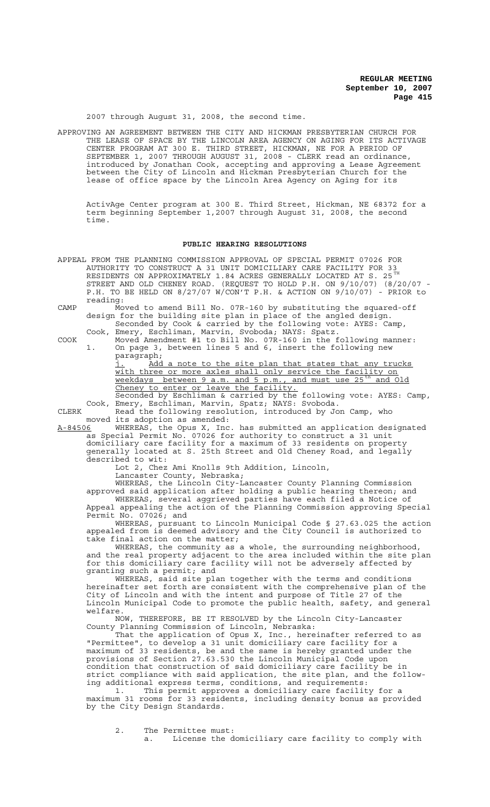2007 through August 31, 2008, the second time.

APPROVING AN AGREEMENT BETWEEN THE CITY AND HICKMAN PRESBYTERIAN CHURCH FOR THE LEASE OF SPACE BY THE LINCOLN AREA AGENCY ON AGING FOR ITS ACTIVAGE CENTER PROGRAM AT 300 E. THIRD STREET, HICKMAN, NE FOR A PERIOD OF SEPTEMBER 1, 2007 THROUGH AUGUST 31, 2008 - CLERK read an ordinance, introduced by Jonathan Cook, accepting and approving a Lease Agreement between the City of Lincoln and Hickman Presbyterian Church for the lease of office space by the Lincoln Area Agency on Aging for its

ActivAge Center program at 300 E. Third Street, Hickman, NE 68372 for a term beginning September 1,2007 through August 31, 2008, the second time.

#### **PUBLIC HEARING RESOLUTIONS**

- APPEAL FROM THE PLANNING COMMISSION APPROVAL OF SPECIAL PERMIT 07026 FOR AUTHORITY TO CONSTRUCT A 31 UNIT DOMICILIARY CARE FACILITY FOR 33 RESIDENTS ON APPROXIMATELY 1.84 ACRES GENERALLY LOCATED AT S. 25  $^{\text{TH}}$ STREET AND OLD CHENEY ROAD. (REQUEST TO HOLD P.H. ON 9/10/07) (8/20/07 - P.H. TO BE HELD ON 8/27/07 W/CON'T P.H. & ACTION ON 9/10/07) - PRIOR to reading:
- CAMP Moved to amend Bill No. 07R-160 by substituting the squared-off design for the building site plan in place of the angled design. Seconded by Cook & carried by the following vote: AYES: Camp,

Cook, Emery, Eschliman, Marvin, Svoboda; NAYS: Spatz. COOK Moved Amendment #1 to Bill No. 07R-160 in the following manner: 1. On page 3, between lines 5 and 6, insert the following new paragraph;

j. Add a note to the site plan that states that any trucks with three or more axles shall only service the facility on weekdays between 9 a.m. and 5 p.m., and must use 25<sup>th</sup> and Old Cheney to enter or leave the facility.

Seconded by Eschliman & carried by the following vote: AYES: Camp, Cook, Emery, Eschliman, Marvin, Spatz; NAYS: Svoboda.

CLERK Read the following resolution, introduced by Jon Camp, who moved its adoption as amended:<br>A-84506 WHEREAS, the Opus X, Inc.

WHEREAS, the Opus X, Inc. has submitted an application designated as Special Permit No. 07026 for authority to construct a 31 unit domiciliary care facility for a maximum of 33 residents on property generally located at S. 25th Street and Old Cheney Road, and legally described to wit:

Lot 2, Chez Ami Knolls 9th Addition, Lincoln, Lancaster County, Nebraska;

WHEREAS, the Lincoln City-Lancaster County Planning Commission approved said application after holding a public hearing thereon; and WHEREAS, several aggrieved parties have each filed a Notice of Appeal appealing the action of the Planning Commission approving Special Permit No. 07026; and

WHEREAS, pursuant to Lincoln Municipal Code § 27.63.025 the action appealed from is deemed advisory and the City Council is authorized to take final action on the matter;

WHEREAS, the community as a whole, the surrounding neighborhood, and the real property adjacent to the area included within the site plan for this domiciliary care facility will not be adversely affected by granting such a permit; and

WHEREAS, said site plan together with the terms and conditions hereinafter set forth are consistent with the comprehensive plan of the City of Lincoln and with the intent and purpose of Title 27 of the Lincoln Municipal Code to promote the public health, safety, and general welfare.

NOW, THEREFORE, BE IT RESOLVED by the Lincoln City-Lancaster County Planning Commission of Lincoln, Nebraska:

That the application of Opus X, Inc., hereinafter referred to as "Permittee", to develop a 31 unit domiciliary care facility for a maximum of 33 residents, be and the same is hereby granted under the provisions of Section 27.63.530 the Lincoln Municipal Code upon condition that construction of said domiciliary care facility be in strict compliance with said application, the site plan, and the following additional express terms, conditions, and requirements:

1. This permit approves a domiciliary care facility for a maximum 31 rooms for 33 residents, including density bonus as provided by the City Design Standards.

2. The Permittee must: a. License the domiciliary care facility to comply with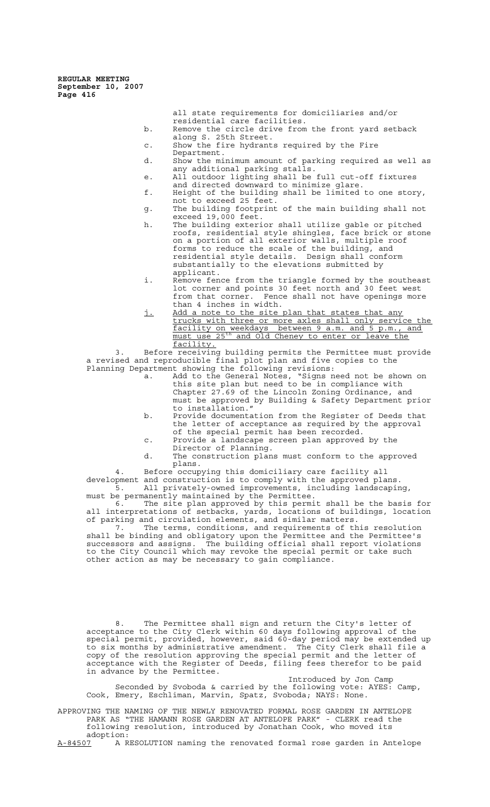> all state requirements for domiciliaries and/or residential care facilities.

- b. Remove the circle drive from the front yard setback along S. 25th Street.
- c. Show the fire hydrants required by the Fire Department.
- d. Show the minimum amount of parking required as well as any additional parking stalls.
- e. All outdoor lighting shall be full cut-off fixtures and directed downward to minimize glare.
- f. Height of the building shall be limited to one story, not to exceed 25 feet.
- g. The building footprint of the main building shall not exceed 19,000 feet.
- h. The building exterior shall utilize gable or pitched roofs, residential style shingles, face brick or stone on a portion of all exterior walls, multiple roof forms to reduce the scale of the building, and residential style details. Design shall conform substantially to the elevations submitted by applicant.
- i. Remove fence from the triangle formed by the southeast lot corner and points 30 feet north and 30 feet west from that corner. Fence shall not have openings more than 4 inches in width.
- j. Add a note to the site plan that states that any trucks with three or more axles shall only service the facility on weekdays between 9 a.m. and 5 p.m., and must use 25<sup>th</sup> and Old Cheney to enter or leave the facility.

3. Before receiving building permits the Permittee must provide a revised and reproducible final plot plan and five copies to the Planning Department showing the following revisions:

- a. Add to the General Notes, "Signs need not be shown on this site plan but need to be in compliance with Chapter 27.69 of the Lincoln Zoning Ordinance, and must be approved by Building & Safety Department prior to installation."
- b. Provide documentation from the Register of Deeds that the letter of acceptance as required by the approval of the special permit has been recorded.
- c. Provide a landscape screen plan approved by the Director of Planning.
- d. The construction plans must conform to the approved plans.<br>Before occupying this domiciliary care facility all

4. Before occupying this domiciliary care facility all development and construction is to comply with the approved plans. 5. All privately-owned improvements, including landscaping, must be permanently maintained by the Permittee.

6. The site plan approved by this permit shall be the basis for all interpretations of setbacks, yards, locations of buildings, location of parking and circulation elements, and similar matters.

7. The terms, conditions, and requirements of this resolution shall be binding and obligatory upon the Permittee and the Permittee's successors and assigns. The building official shall report violations to the City Council which may revoke the special permit or take such other action as may be necessary to gain compliance.

8. The Permittee shall sign and return the City's letter of acceptance to the City Clerk within 60 days following approval of the special permit, provided, however, said 60-day period may be extended up to six months by administrative amendment. The City Clerk shall file a copy of the resolution approving the special permit and the letter of acceptance with the Register of Deeds, filing fees therefor to be paid in advance by the Permittee.

Introduced by Jon Camp Seconded by Svoboda & carried by the following vote: AYES: Camp, Cook, Emery, Eschliman, Marvin, Spatz, Svoboda; NAYS: None.

APPROVING THE NAMING OF THE NEWLY RENOVATED FORMAL ROSE GARDEN IN ANTELOPE PARK AS "THE HAMANN ROSE GARDEN AT ANTELOPE PARK" - CLERK read the following resolution, introduced by Jonathan Cook, who moved its adoption:<br><u>A-84507</u> A R

A RESOLUTION naming the renovated formal rose garden in Antelope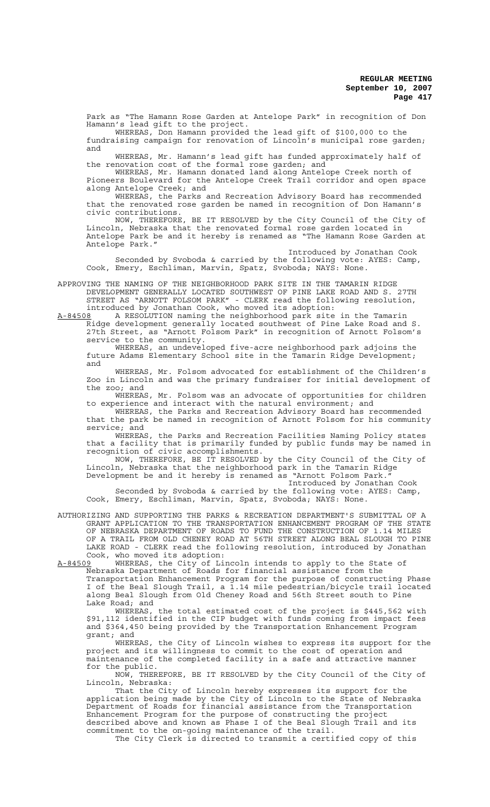Park as "The Hamann Rose Garden at Antelope Park" in recognition of Don Hamann's lead gift to the project.

WHEREAS, Don Hamann provided the lead gift of \$100,000 to the fundraising campaign for renovation of Lincoln's municipal rose garden; and

WHEREAS, Mr. Hamann's lead gift has funded approximately half of the renovation cost of the formal rose garden; and

WHEREAS, Mr. Hamann donated land along Antelope Creek north of Pioneers Boulevard for the Antelope Creek Trail corridor and open space along Antelope Creek; and

WHEREAS, the Parks and Recreation Advisory Board has recommended that the renovated rose garden be named in recognition of Don Hamann's civic contributions.

NOW, THEREFORE, BE IT RESOLVED by the City Council of the City of Lincoln, Nebraska that the renovated formal rose garden located in Antelope Park be and it hereby is renamed as "The Hamann Rose Garden at Antelope Park."

Introduced by Jonathan Cook Seconded by Svoboda & carried by the following vote: AYES: Camp, Cook, Emery, Eschliman, Marvin, Spatz, Svoboda; NAYS: None.

APPROVING THE NAMING OF THE NEIGHBORHOOD PARK SITE IN THE TAMARIN RIDGE DEVELOPMENT GENERALLY LOCATED SOUTHWEST OF PINE LAKE ROAD AND S. 27TH STREET AS "ARNOTT FOLSOM PARK" - CLERK read the following resolution, introduced by Jonathan Cook, who moved its adoption:

A-84508 A RESOLUTION naming the neighborhood park site in the Tamarin Ridge development generally located southwest of Pine Lake Road and S. 27th Street, as "Arnott Folsom Park" in recognition of Arnott Folsom's service to the community.

WHEREAS, an undeveloped five-acre neighborhood park adjoins the future Adams Elementary School site in the Tamarin Ridge Development; and

WHEREAS, Mr. Folsom advocated for establishment of the Children's Zoo in Lincoln and was the primary fundraiser for initial development of the zoo; and

WHEREAS, Mr. Folsom was an advocate of opportunities for children to experience and interact with the natural environment; and

WHEREAS, the Parks and Recreation Advisory Board has recommended that the park be named in recognition of Arnott Folsom for his community<br>service: and service;

WHEREAS, the Parks and Recreation Facilities Naming Policy states that a facility that is primarily funded by public funds may be named in recognition of civic accomplishments.

NOW, THEREFORE, BE IT RESOLVED by the City Council of the City of Lincoln, Nebraska that the neighborhood park in the Tamarin Ridge Development be and it hereby is renamed as "Arnott Folsom Park."

Introduced by Jonathan Cook Seconded by Svoboda & carried by the following vote: AYES: Camp, Cook, Emery, Eschliman, Marvin, Spatz, Svoboda; NAYS: None.

AUTHORIZING AND SUPPORTING THE PARKS & RECREATION DEPARTMENT'S SUBMITTAL OF A GRANT APPLICATION TO THE TRANSPORTATION ENHANCEMENT PROGRAM OF THE STATE OF NEBRASKA DEPARTMENT OF ROADS TO FUND THE CONSTRUCTION OF 1.14 MILES OF A TRAIL FROM OLD CHENEY ROAD AT 56TH STREET ALONG BEAL SLOUGH TO PINE LAKE ROAD - CLERK read the following resolution, introduced by Jonathan Cook, who moved its adoption:<br>A-84509 WHEREAS, the City of Li

A-84509 WHEREAS, the City of Lincoln intends to apply to the State of Nebraska Department of Roads for financial assistance from the Transportation Enhancement Program for the purpose of constructing Phase I of the Beal Slough Trail, a 1.14 mile pedestrian/bicycle trail located along Beal Slough from Old Cheney Road and 56th Street south to Pine Lake Road; and

WHEREAS, the total estimated cost of the project is \$445,562 with \$91,112 identified in the CIP budget with funds coming from impact fees and \$364,450 being provided by the Transportation Enhancement Program grant; and

WHEREAS, the City of Lincoln wishes to express its support for the project and its willingness to commit to the cost of operation and maintenance of the completed facility in a safe and attractive manner for the public.

NOW, THEREFORE, BE IT RESOLVED by the City Council of the City of Lincoln, Nebraska:

That the City of Lincoln hereby expresses its support for the application being made by the City of Lincoln to the State of Nebraska Department of Roads for financial assistance from the Transportation Enhancement Program for the purpose of constructing the project described above and known as Phase I of the Beal Slough Trail and its commitment to the on-going maintenance of the trail.

The City Clerk is directed to transmit a certified copy of this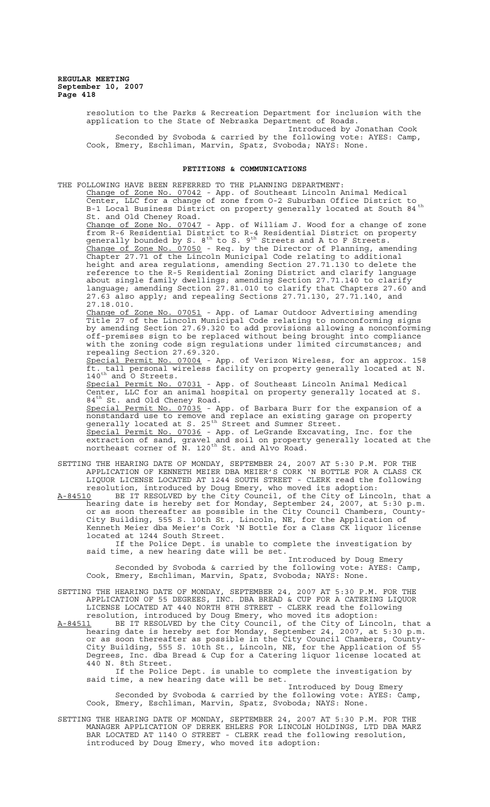> resolution to the Parks & Recreation Department for inclusion with the application to the State of Nebraska Department of Roads. Introduced by Jonathan Cook

> Seconded by Svoboda & carried by the following vote: AYES: Camp, Cook, Emery, Eschliman, Marvin, Spatz, Svoboda; NAYS: None.

## **PETITIONS & COMMUNICATIONS**

THE FOLLOWING HAVE BEEN REFERRED TO THE PLANNING DEPARTMENT: Change of Zone No. 07042 - App. of Southeast Lincoln Animal Medical Center, LLC for a change of zone from O-2 Suburban Office District to B-1 Local Business District on property generally located at South 84<sup>th</sup> St. and Old Cheney Road.<br>Change of Zone No. 07047 Change of Zone No. 07047 - App. of William J. Wood for a change of zone from R-6 Residential District to R-4 Residential District on property generally bounded by S.  $8^{\text{th}}$  to S.  $9^{\text{th}}$  Streets and A to F Streets. Change of Zone No. 07050 - Req. by the Director of Planning, amending Chapter 27.71 of the Lincoln Municipal Code relating to additional height and area regulations, amending Section 27.71.130 to delete the reference to the R-5 Residential Zoning District and clarify language about single family dwellings; amending Section 27.71.140 to clarify language; amending Section 27.81.010 to clarify that Chapters 27.60 and 27.63 also apply; and repealing Sections 27.71.130, 27.71.140, and 27.18.010. Change of Zone No. 07051 - App. of Lamar Outdoor Advertising amending Title 27 of the Lincoln Municipal Code relating to nonconforming signs by amending Section 27.69.320 to add provisions allowing a nonconforming off-premises sign to be replaced without being brought into compliance with the zoning code sign regulations under limited circumstances; and repealing Section 27.69.320.<br>Special Permit No. 07004 - A Permit No. 07004 - App. of Verizon Wireless, for an approx. 158 ft. tall personal wireless facility on property generally located at N.  $140^{\text{th}}$  and O Streets. Special Permit No. 07031 - App. of Southeast Lincoln Animal Medical Center, LLC for an animal hospital on property generally located at S. 84<sup>th</sup> St. and Old Cheney Road. Special Permit No. 07035 - App. of Barbara Burr for the expansion of a nonstandard use to remove and replace an existing garage on property generally located at S. 25<sup>th</sup> Street and Sumner Street. Special Permit No. 07036 - App. of LeGrande Excavating, Inc. for the extraction of sand, gravel and soil on property generally located at the northeast corner of N. 120<sup>th</sup> St. and Alvo Road. SETTING THE HEARING DATE OF MONDAY, SEPTEMBER 24, 2007 AT 5:30 P.M. FOR THE APPLICATION OF KENNETH MEIER DBA MEIER'S CORK 'N BOTTLE FOR A CLASS CK LIQUOR LICENSE LOCATED AT 1244 SOUTH STREET - CLERK read the following resolution, introduced by Doug Emery, who moved its adoption: A-84510 BE IT RESOLVED by the City Council, of the City of Lincoln, that a hearing date is hereby set for Monday, September 24, 2007, at 5:30 p.m. or as soon thereafter as possible in the City Council Chambers, County-City Building, 555 S. 10th St., Lincoln, NE, for the Application of Kenneth Meier dba Meier's Cork 'N Bottle for a Class CK liquor license located at 1244 South Street.

If the Police Dept. is unable to complete the investigation by said time, a new hearing date will be set.

Introduced by Doug Emery Seconded by Svoboda & carried by the following vote: AYES: Camp, Cook, Emery, Eschliman, Marvin, Spatz, Svoboda; NAYS: None.

SETTING THE HEARING DATE OF MONDAY, SEPTEMBER 24, 2007 AT 5:30 P.M. FOR THE APPLICATION OF 55 DEGREES, INC. DBA BREAD & CUP FOR A CATERING LIQUOR LICENSE LOCATED AT 440 NORTH 8TH STREET - CLERK read the following resolution, introduced by Doug Emery, who moved its adoption:

A-84511 BE IT RESOLVED by the City Council, of the City of Lincoln, that a hearing date is hereby set for Monday, September 24, 2007, at 5:30 p.m. or as soon thereafter as possible in the City Council Chambers, County-City Building, 555 S. 10th St., Lincoln, NE, for the Application of 55 Degrees, Inc. dba Bread & Cup for a Catering liquor license located at 440 N. 8th Street.

If the Police Dept. is unable to complete the investigation by said time, a new hearing date will be set.

Introduced by Doug Emery Seconded by Svoboda & carried by the following vote: AYES: Camp, Cook, Emery, Eschliman, Marvin, Spatz, Svoboda; NAYS: None.

SETTING THE HEARING DATE OF MONDAY, SEPTEMBER 24, 2007 AT 5:30 P.M. FOR THE MANAGER APPLICATION OF DEREK EHLERS FOR LINCOLN HOLDINGS, LTD DBA MARZ BAR LOCATED AT 1140 O STREET - CLERK read the following resolution, introduced by Doug Emery, who moved its adoption: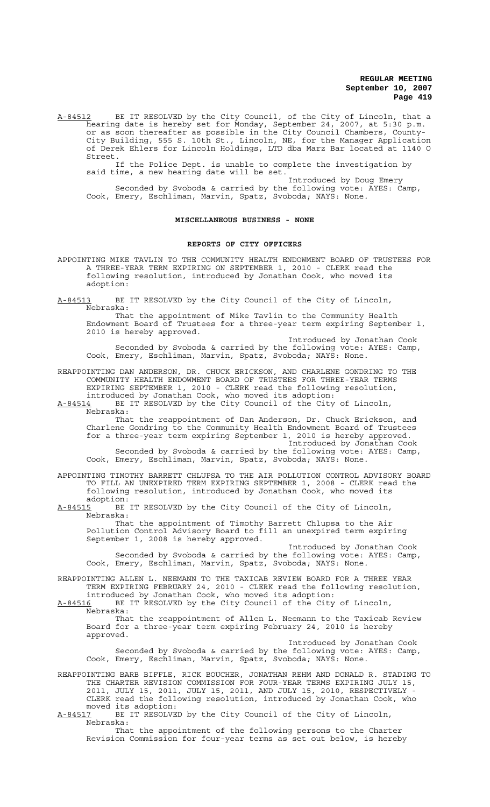A-84512 BE IT RESOLVED by the City Council, of the City of Lincoln, that a hearing date is hereby set for Monday, September 24, 2007, at 5:30 p.m. or as soon thereafter as possible in the City Council Chambers, County-City Building, 555 S. 10th St., Lincoln, NE, for the Manager Application of Derek Ehlers for Lincoln Holdings, LTD dba Marz Bar located at 1140 O Street.

If the Police Dept. is unable to complete the investigation by said time, a new hearing date will be set.

Introduced by Doug Emery Seconded by Svoboda & carried by the following vote: AYES: Camp, Cook, Emery, Eschliman, Marvin, Spatz, Svoboda; NAYS: None.

#### **MISCELLANEOUS BUSINESS - NONE**

#### **REPORTS OF CITY OFFICERS**

APPOINTING MIKE TAVLIN TO THE COMMUNITY HEALTH ENDOWMENT BOARD OF TRUSTEES FOR A THREE-YEAR TERM EXPIRING ON SEPTEMBER 1, 2010 - CLERK read the following resolution, introduced by Jonathan Cook, who moved its adoption:

A-84513 BE IT RESOLVED by the City Council of the City of Lincoln, Nebraska:

That the appointment of Mike Tavlin to the Community Health Endowment Board of Trustees for a three-year term expiring September 1, 2010 is hereby approved.

Introduced by Jonathan Cook Seconded by Svoboda & carried by the following vote: AYES: Camp, Cook, Emery, Eschliman, Marvin, Spatz, Svoboda; NAYS: None.

REAPPOINTING DAN ANDERSON, DR. CHUCK ERICKSON, AND CHARLENE GONDRING TO THE COMMUNITY HEALTH ENDOWMENT BOARD OF TRUSTEES FOR THREE-YEAR TERMS EXPIRING SEPTEMBER 1, 2010 - CLERK read the following resolution, introduced by Jonathan Cook, who moved its adoption:

A-84514 BE IT RESOLVED by the City Council of the City of Lincoln, Nebraska:

That the reappointment of Dan Anderson, Dr. Chuck Erickson, and Charlene Gondring to the Community Health Endowment Board of Trustees for a three-year term expiring September 1, 2010 is hereby approved. Introduced by Jonathan Cook Seconded by Svoboda & carried by the following vote: AYES: Camp,

Cook, Emery, Eschliman, Marvin, Spatz, Svoboda; NAYS: None.

APPOINTING TIMOTHY BARRETT CHLUPSA TO THE AIR POLLUTION CONTROL ADVISORY BOARD TO FILL AN UNEXPIRED TERM EXPIRING SEPTEMBER 1, 2008 - CLERK read the following resolution, introduced by Jonathan Cook, who moved its adoption:

A-84515 BE IT RESOLVED by the City Council of the City of Lincoln, Nebraska:

That the appointment of Timothy Barrett Chlupsa to the Air Pollution Control Advisory Board to fill an unexpired term expiring September 1, 2008 is hereby approved.

Introduced by Jonathan Cook Seconded by Svoboda & carried by the following vote: AYES: Camp, Cook, Emery, Eschliman, Marvin, Spatz, Svoboda; NAYS: None.

REAPPOINTING ALLEN L. NEEMANN TO THE TAXICAB REVIEW BOARD FOR A THREE YEAR TERM EXPIRING FEBRUARY 24, 2010 - CLERK read the following resolution, introduced by Jonathan Cook, who moved its adoption:

A-84516 BE IT RESOLVED by the City Council of the City of Lincoln, Nebraska:

That the reappointment of Allen L. Neemann to the Taxicab Review Board for a three-year term expiring February 24, 2010 is hereby approved.

Introduced by Jonathan Cook Seconded by Svoboda & carried by the following vote: AYES: Camp, Cook, Emery, Eschliman, Marvin, Spatz, Svoboda; NAYS: None.

REAPPOINTING BARB BIFFLE, RICK BOUCHER, JONATHAN REHM AND DONALD R. STADING TO THE CHARTER REVISION COMMISSION FOR FOUR-YEAR TERMS EXPIRING JULY 15, 2011, JULY 15, 2011, JULY 15, 2011, AND JULY 15, 2010, RESPECTIVELY - CLERK read the following resolution, introduced by Jonathan Cook, who moved its adoption:<br>A-84517 BE IT RESOLVE

BE IT RESOLVED by the City Council of the City of Lincoln, Nebraska:

That the appointment of the following persons to the Charter Revision Commission for four-year terms as set out below, is hereby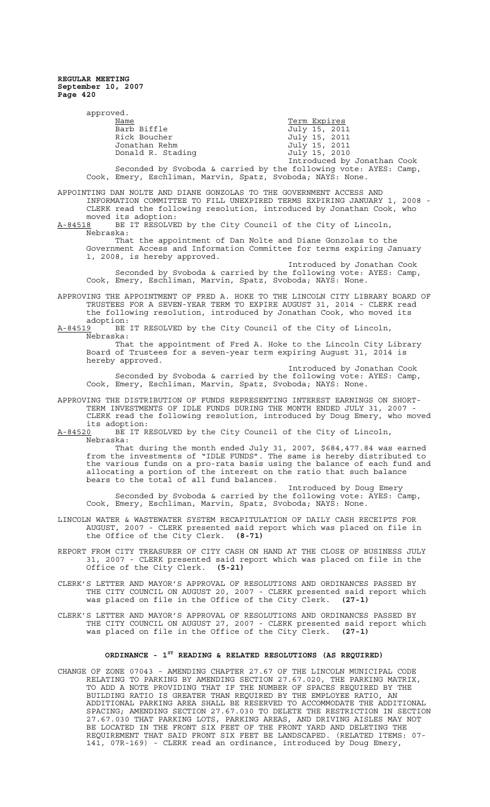| approved.                                                                                                                                                                                                                                          |                                                                                                                                                                                                                                                                                                                                              |                                              |
|----------------------------------------------------------------------------------------------------------------------------------------------------------------------------------------------------------------------------------------------------|----------------------------------------------------------------------------------------------------------------------------------------------------------------------------------------------------------------------------------------------------------------------------------------------------------------------------------------------|----------------------------------------------|
|                                                                                                                                                                                                                                                    | Name                                                                                                                                                                                                                                                                                                                                         | Term Expires                                 |
|                                                                                                                                                                                                                                                    | Barb Biffle                                                                                                                                                                                                                                                                                                                                  | July 15, 2011                                |
|                                                                                                                                                                                                                                                    | Rick Boucher                                                                                                                                                                                                                                                                                                                                 | July 15, 2011                                |
|                                                                                                                                                                                                                                                    | Jonathan Rehm                                                                                                                                                                                                                                                                                                                                | July 15, 2011                                |
|                                                                                                                                                                                                                                                    | Donald R. Stading                                                                                                                                                                                                                                                                                                                            | July 15, 2010<br>Introduced by Jonathan Cook |
|                                                                                                                                                                                                                                                    | Seconded by Svoboda & carried by the following vote: AYES: Camp,                                                                                                                                                                                                                                                                             |                                              |
|                                                                                                                                                                                                                                                    | Cook, Emery, Eschliman, Marvin, Spatz, Svoboda; NAYS: None.                                                                                                                                                                                                                                                                                  |                                              |
| APPOINTING DAN NOLTE AND DIANE GONZOLAS TO THE GOVERNMENT ACCESS AND<br>INFORMATION COMMITTEE TO FILL UNEXPIRED TERMS EXPIRING JANUARY 1, 2008 -<br>CLERK read the following resolution, introduced by Jonathan Cook, who<br>moved its adoption:   |                                                                                                                                                                                                                                                                                                                                              |                                              |
| A-84518<br>Nebraska:                                                                                                                                                                                                                               | BE IT RESOLVED by the City Council of the City of Lincoln,                                                                                                                                                                                                                                                                                   |                                              |
| That the appointment of Dan Nolte and Diane Gonzolas to the<br>Government Access and Information Committee for terms expiring January<br>1, 2008, is hereby approved.                                                                              |                                                                                                                                                                                                                                                                                                                                              |                                              |
|                                                                                                                                                                                                                                                    |                                                                                                                                                                                                                                                                                                                                              | Introduced by Jonathan Cook                  |
|                                                                                                                                                                                                                                                    | Seconded by Svoboda & carried by the following vote: AYES: Camp,<br>Cook, Emery, Eschliman, Marvin, Spatz, Svoboda; NAYS: None.                                                                                                                                                                                                              |                                              |
| APPROVING THE APPOINTMENT OF FRED A. HOKE TO THE LINCOLN CITY LIBRARY BOARD OF                                                                                                                                                                     |                                                                                                                                                                                                                                                                                                                                              |                                              |
| adoption:                                                                                                                                                                                                                                          | TRUSTEES FOR A SEVEN-YEAR TERM TO EXPIRE AUGUST 31, 2014 - CLERK read<br>the following resolution, introduced by Jonathan Cook, who moved its                                                                                                                                                                                                |                                              |
| A-84519<br>Nebraska:                                                                                                                                                                                                                               | BE IT RESOLVED by the City Council of the City of Lincoln,                                                                                                                                                                                                                                                                                   |                                              |
|                                                                                                                                                                                                                                                    | That the appointment of Fred A. Hoke to the Lincoln City Library<br>Board of Trustees for a seven-year term expiring August 31, 2014 is<br>hereby approved.                                                                                                                                                                                  |                                              |
|                                                                                                                                                                                                                                                    |                                                                                                                                                                                                                                                                                                                                              | Introduced by Jonathan Cook                  |
|                                                                                                                                                                                                                                                    | Seconded by Svoboda & carried by the following vote: AYES: Camp,<br>Cook, Emery, Eschliman, Marvin, Spatz, Svoboda; NAYS: None.                                                                                                                                                                                                              |                                              |
| APPROVING THE DISTRIBUTION OF FUNDS REPRESENTING INTEREST EARNINGS ON SHORT-<br>TERM INVESTMENTS OF IDLE FUNDS DURING THE MONTH ENDED JULY 31, 2007 -<br>CLERK read the following resolution, introduced by Doug Emery, who moved<br>its adoption: |                                                                                                                                                                                                                                                                                                                                              |                                              |
| A-84520<br>Nebraska:                                                                                                                                                                                                                               | BE IT RESOLVED by the City Council of the City of Lincoln,                                                                                                                                                                                                                                                                                   |                                              |
|                                                                                                                                                                                                                                                    | That during the month ended July 31, 2007, \$684,477.84 was earned<br>from the investments of "IDLE FUNDS". The same is hereby distributed to<br>the various funds on a pro-rata basis using the balance of each fund and<br>allocating a portion of the interest on the ratio that such balance<br>bears to the total of all fund balances. |                                              |
|                                                                                                                                                                                                                                                    | Seconded by Svoboda & carried by the following vote: AYES: Camp,<br>Cook, Emery, Eschliman, Marvin, Spatz, Svoboda; NAYS: None.                                                                                                                                                                                                              | Introduced by Doug Emery                     |
| LINCOLN WATER & WASTEWATER SYSTEM RECAPITULATION OF DAILY CASH RECEIPTS FOR<br>AUGUST, 2007 - CLERK presented said report which was placed on file in<br>the Office of the City Clerk. (8-71)                                                      |                                                                                                                                                                                                                                                                                                                                              |                                              |
| REPORT FROM CITY TREASURER OF CITY CASH ON HAND AT THE CLOSE OF BUSINESS JULY<br>31, 2007 - CLERK presented said report which was placed on file in the<br>Office of the City Clerk. (5-21)                                                        |                                                                                                                                                                                                                                                                                                                                              |                                              |
|                                                                                                                                                                                                                                                    | CLERK'S LETTER AND MAYOR'S APPROVAL OF RESOLUTIONS AND ORDINANCES PASSED BY<br>THE CITY COUNCIL ON AUGUST 20, 2007 - CLERK presented said report which<br>was placed on file in the Office of the City Clerk. (27-1)                                                                                                                         |                                              |

CLERK'S LETTER AND MAYOR'S APPROVAL OF RESOLUTIONS AND ORDINANCES PASSED BY THE CITY COUNCIL ON AUGUST 27, 2007 - CLERK presented said report which was placed on file in the Office of the City Clerk. **(27-1)**

# **ORDINANCE - 1ST READING & RELATED RESOLUTIONS (AS REQUIRED)**

CHANGE OF ZONE 07043 - AMENDING CHAPTER 27.67 OF THE LINCOLN MUNICIPAL CODE RELATING TO PARKING BY AMENDING SECTION 27.67.020, THE PARKING MATRIX, TO ADD A NOTE PROVIDING THAT IF THE NUMBER OF SPACES REQUIRED BY THE BUILDING RATIO IS GREATER THAN REQUIRED BY THE EMPLOYEE RATIO, AN ADDITIONAL PARKING AREA SHALL BE RESERVED TO ACCOMMODATE THE ADDITIONAL SPACING; AMENDING SECTION 27.67.030 TO DELETE THE RESTRICTION IN SECTION 27.67.030 THAT PARKING LOTS, PARKING AREAS, AND DRIVING AISLES MAY NOT BE LOCATED IN THE FRONT SIX FEET OF THE FRONT YARD AND DELETING THE REQUIREMENT THAT SAID FRONT SIX FEET BE LANDSCAPED. (RELATED ITEMS: 07- 141, 07R-169) - CLERK read an ordinance, introduced by Doug Emery,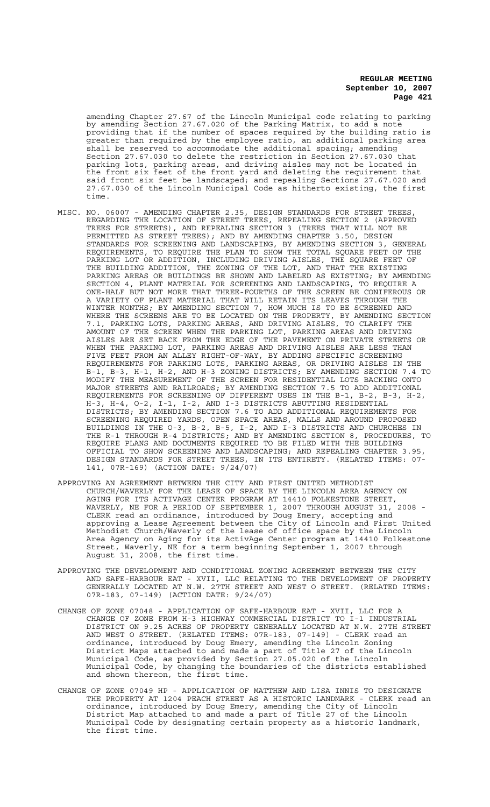amending Chapter 27.67 of the Lincoln Municipal code relating to parking by amending Section 27.67.020 of the Parking Matrix, to add a note providing that if the number of spaces required by the building ratio is greater than required by the employee ratio, an additional parking area shall be reserved to accommodate the additional spacing; amending Section 27.67.030 to delete the restriction in Section 27.67.030 that parking lots, parking areas, and driving aisles may not be located in the front six feet of the front yard and deleting the requirement that said front six feet be landscaped; and repealing Sections 27.67.020 and 27.67.030 of the Lincoln Municipal Code as hitherto existing, the first time.

- MISC. NO. 06007 AMENDING CHAPTER 2.35, DESIGN STANDARDS FOR STREET TREES, REGARDING THE LOCATION OF STREET TREES, REPEALING SECTION 2 (APPROVED TREES FOR STREETS), AND REPEALING SECTION 3 (TREES THAT WILL NOT BE PERMITTED AS STREET TREES); AND BY AMENDING CHAPTER 3.50, DESIGN STANDARDS FOR SCREENING AND LANDSCAPING, BY AMENDING SECTION 3, GENERAL REQUIREMENTS, TO REQUIRE THE PLAN TO SHOW THE TOTAL SQUARE FEET OF THE PARKING LOT OR ADDITION, INCLUDING DRIVING AISLES, THE SQUARE FEET OF THE BUILDING ADDITION, THE ZONING OF THE LOT, AND THAT THE EXISTING PARKING AREAS OR BUILDINGS BE SHOWN AND LABELED AS EXISTING; BY AMENDING SECTION 4, PLANT MATERIAL FOR SCREENING AND LANDSCAPING, TO REQUIRE A ONE-HALF BUT NOT MORE THAT THREE-FOURTHS OF THE SCREEN BE CONIFEROUS OR A VARIETY OF PLANT MATERIAL THAT WILL RETAIN ITS LEAVES THROUGH THE WINTER MONTHS; BY AMENDING SECTION 7, HOW MUCH IS TO BE SCREENED AND WHERE THE SCREENS ARE TO BE LOCATED ON THE PROPERTY, BY AMENDING SECTION 7.1, PARKING LOTS, PARKING AREAS, AND DRIVING AISLES, TO CLARIFY THE AMOUNT OF THE SCREEN WHEN THE PARKING LOT, PARKING AREAS AND DRIVING AISLES ARE SET BACK FROM THE EDGE OF THE PAVEMENT ON PRIVATE STREETS OR WHEN THE PARKING LOT, PARKING AREAS AND DRIVING AISLES ARE LESS THAN FIVE FEET FROM AN ALLEY RIGHT-OF-WAY, BY ADDING SPECIFIC SCREENING REQUIREMENTS FOR PARKING LOTS, PARKING AREAS, OR DRIVING AISLES IN THE B-1, B-3, H-1, H-2, AND H-3 ZONING DISTRICTS; BY AMENDING SECTION 7.4 TO MODIFY THE MEASUREMENT OF THE SCREEN FOR RESIDENTIAL LOTS BACKING ONTO MAJOR STREETS AND RAILROADS; BY AMENDING SECTION 7.5 TO ADD ADDITIONAL REQUIREMENTS FOR SCREENING OF DIFFERENT USES IN THE B-1, B-2, B-3, H-2, H-3, H-4, O-2, I-1, I-2, AND I-3 DISTRICTS ABUTTING RESIDENTIAL DISTRICTS; BY AMENDING SECTION 7.6 TO ADD ADDITIONAL REQUIREMENTS FOR SCREENING REQUIRED YARDS, OPEN SPACE AREAS, MALLS AND AROUND PROPOSED BUILDINGS IN THE O-3, B-2, B-5, I-2, AND I-3 DISTRICTS AND CHURCHES IN THE R-1 THROUGH R-4 DISTRICTS; AND BY AMENDING SECTION 8, PROCEDURES, TO REQUIRE PLANS AND DOCUMENTS REQUIRED TO BE FILED WITH THE BUILDING OFFICIAL TO SHOW SCREENING AND LANDSCAPING; AND REPEALING CHAPTER 3.95, DESIGN STANDARDS FOR STREET TREES, IN ITS ENTIRETY. (RELATED ITEMS: 07- 141, 07R-169) (ACTION DATE: 9/24/07)
- APPROVING AN AGREEMENT BETWEEN THE CITY AND FIRST UNITED METHODIST CHURCH/WAVERLY FOR THE LEASE OF SPACE BY THE LINCOLN AREA AGENCY ON AGING FOR ITS ACTIVAGE CENTER PROGRAM AT 14410 FOLKESTONE STREET, WAVERLY, NE FOR A PERIOD OF SEPTEMBER 1, 2007 THROUGH AUGUST 31, 2008 - CLERK read an ordinance, introduced by Doug Emery, accepting and approving a Lease Agreement between the City of Lincoln and First United Methodist Church/Waverly of the lease of office space by the Lincoln Area Agency on Aging for its ActivAge Center program at 14410 Folkestone Street, Waverly, NE for a term beginning September 1, 2007 through August 31, 2008, the first time.
- APPROVING THE DEVELOPMENT AND CONDITIONAL ZONING AGREEMENT BETWEEN THE CITY AND SAFE-HARBOUR EAT - XVII, LLC RELATING TO THE DEVELOPMENT OF PROPERTY GENERALLY LOCATED AT N.W. 27TH STREET AND WEST O STREET. (RELATED ITEMS: 07R-183, 07-149) (ACTION DATE: 9/24/07)
- CHANGE OF ZONE 07048 APPLICATION OF SAFE-HARBOUR EAT XVII, LLC FOR A CHANGE OF ZONE FROM H-3 HIGHWAY COMMERCIAL DISTRICT TO I-1 INDUSTRIAL DISTRICT ON 9.25 ACRES OF PROPERTY GENERALLY LOCATED AT N.W. 27TH STREET AND WEST O STREET. (RELATED ITEMS: 07R-183, 07-149) - CLERK read an ordinance, introduced by Doug Emery, amending the Lincoln Zoning District Maps attached to and made a part of Title 27 of the Lincoln Municipal Code, as provided by Section 27.05.020 of the Lincoln Municipal Code, by changing the boundaries of the districts established and shown thereon, the first time.
- CHANGE OF ZONE 07049 HP APPLICATION OF MATTHEW AND LISA INNIS TO DESIGNATE THE PROPERTY AT 1204 PEACH STREET AS A HISTORIC LANDMARK - CLERK read an ordinance, introduced by Doug Emery, amending the City of Lincoln District Map attached to and made a part of Title 27 of the Lincoln Municipal Code by designating certain property as a historic landmark, the first time.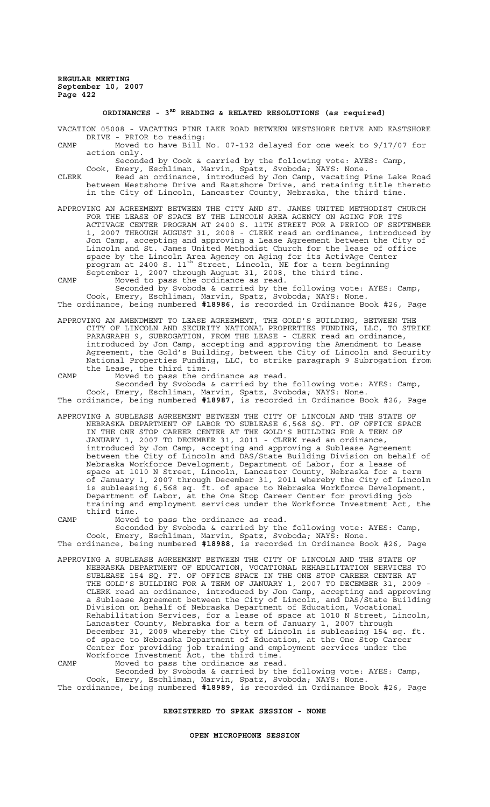# **ORDINANCES - 3RD READING & RELATED RESOLUTIONS (as required)**

VACATION 05008 - VACATING PINE LAKE ROAD BETWEEN WESTSHORE DRIVE AND EASTSHORE DRIVE - PRIOR to reading:

- CAMP Moved to have Bill No. 07-132 delayed for one week to 9/17/07 for action only.
- Seconded by Cook & carried by the following vote: AYES: Camp, Cook, Emery, Eschliman, Marvin, Spatz, Svoboda; NAYS: None. CLERK Read an ordinance, introduced by Jon Camp, vacating Pine Lake Road
- between Westshore Drive and Eastshore Drive, and retaining title thereto in the City of Lincoln, Lancaster County, Nebraska, the third time.
- APPROVING AN AGREEMENT BETWEEN THE CITY AND ST. JAMES UNITED METHODIST CHURCH FOR THE LEASE OF SPACE BY THE LINCOLN AREA AGENCY ON AGING FOR ITS ACTIVAGE CENTER PROGRAM AT 2400 S. 11TH STREET FOR A PERIOD OF SEPTEMBER 1, 2007 THROUGH AUGUST 31, 2008 - CLERK read an ordinance, introduced by Jon Camp, accepting and approving a Lease Agreement between the City of Lincoln and St. James United Methodist Church for the lease of office space by the Lincoln Area Agency on Aging for its ActivAge Center program at 2400 S. 11th Street, Lincoln, NE for a term beginning September 1, 2007 through August 31, 2008, the third time.
- CAMP Moved to pass the ordinance as read.

Seconded by Svoboda & carried by the following vote: AYES: Camp, Cook, Emery, Eschliman, Marvin, Spatz, Svoboda; NAYS: None. The ordinance, being numbered **#18986**, is recorded in Ordinance Book #26, Page

APPROVING AN AMENDMENT TO LEASE AGREEMENT, THE GOLD'S BUILDING, BETWEEN THE CITY OF LINCOLN AND SECURITY NATIONAL PROPERTIES FUNDING, LLC, TO STRIKE PARAGRAPH 9, SUBROGATION, FROM THE LEASE - CLERK read an ordinance, introduced by Jon Camp, accepting and approving the Amendment to Lease Agreement, the Gold's Building, between the City of Lincoln and Security National Properties Funding, LLC, to strike paragraph 9 Subrogation from the Lease, the third time.

CAMP Moved to pass the ordinance as read. Seconded by Svoboda & carried by the following vote: AYES: Camp, Cook, Emery, Eschliman, Marvin, Spatz, Svoboda; NAYS: None.

The ordinance, being numbered **#18987**, is recorded in Ordinance Book #26, Page

APPROVING A SUBLEASE AGREEMENT BETWEEN THE CITY OF LINCOLN AND THE STATE OF NEBRASKA DEPARTMENT OF LABOR TO SUBLEASE 6,568 SQ. FT. OF OFFICE SPACE IN THE ONE STOP CAREER CENTER AT THE GOLD'S BUILDING FOR A TERM OF JANUARY 1, 2007 TO DECEMBER 31, 2011 - CLERK read an ordinance, introduced by Jon Camp, accepting and approving a Sublease Agreement between the City of Lincoln and DAS/State Building Division on behalf of Nebraska Workforce Development, Department of Labor, for a lease of space at 1010 N Street, Lincoln, Lancaster County, Nebraska for a term of January 1, 2007 through December 31, 2011 whereby the City of Lincoln is subleasing 6,568 sq. ft. of space to Nebraska Workforce Development, Department of Labor, at the One Stop Career Center for providing job training and employment services under the Workforce Investment Act, the third time.

CAMP Moved to pass the ordinance as read.

Seconded by Svoboda & carried by the following vote: AYES: Camp, Cook, Emery, Eschliman, Marvin, Spatz, Svoboda; NAYS: None. The ordinance, being numbered **#18988**, is recorded in Ordinance Book #26, Page

APPROVING A SUBLEASE AGREEMENT BETWEEN THE CITY OF LINCOLN AND THE STATE OF NEBRASKA DEPARTMENT OF EDUCATION, VOCATIONAL REHABILITATION SERVICES TO SUBLEASE 154 SQ. FT. OF OFFICE SPACE IN THE ONE STOP CAREER CENTER AT THE GOLD'S BUILDING FOR A TERM OF JANUARY 1, 2007 TO DECEMBER 31, 2009 - CLERK read an ordinance, introduced by Jon Camp, accepting and approving a Sublease Agreement between the City of Lincoln, and DAS/State Building Division on behalf of Nebraska Department of Education, Vocational Rehabilitation Services, for a lease of space at 1010 N Street, Lincoln, Lancaster County, Nebraska for a term of January 1, 2007 through December 31, 2009 whereby the City of Lincoln is subleasing 154 sq. ft. of space to Nebraska Department of Education, at the One Stop Career Center for providing job training and employment services under the Workforce Investment Act, the third time.

CAMP Moved to pass the ordinance as read. Seconded by Svoboda & carried by the following vote: AYES: Camp, Cook, Emery, Eschliman, Marvin, Spatz, Svoboda; NAYS: None. The ordinance, being numbered **#18989**, is recorded in Ordinance Book #26, Page

# **REGISTERED TO SPEAK SESSION - NONE**

#### **OPEN MICROPHONE SESSION**